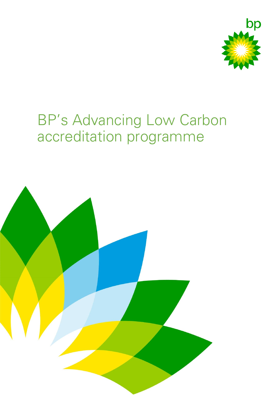

# BP's Advancing Low Carbon accreditation programme

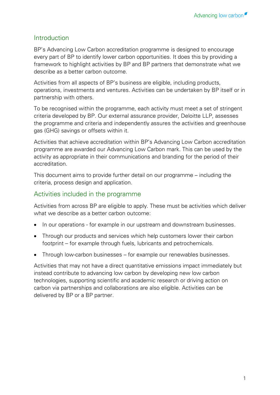# **Introduction**

BP's Advancing Low Carbon accreditation programme is designed to encourage every part of BP to identify lower carbon opportunities. It does this by providing a framework to highlight activities by BP and BP partners that demonstrate what we describe as a better carbon outcome.

Activities from all aspects of BP's business are eligible, including products, operations, investments and ventures. Activities can be undertaken by BP itself or in partnership with others.

To be recognised within the programme, each activity must meet a set of stringent criteria developed by BP. Our external assurance provider, Deloitte LLP, assesses the programme and criteria and independently assures the activities and greenhouse gas (GHG) savings or offsets within it.

Activities that achieve accreditation within BP's Advancing Low Carbon accreditation programme are awarded our Advancing Low Carbon mark. This can be used by the activity as appropriate in their communications and branding for the period of their accreditation.

This document aims to provide further detail on our programme – including the criteria, process design and application.

# Activities included in the programme

Activities from across BP are eligible to apply. These must be activities which deliver what we describe as a better carbon outcome:

- In our operations for example in our upstream and downstream businesses.
- Through our products and services which help customers lower their carbon footprint – for example through fuels, lubricants and petrochemicals.
- Through low-carbon businesses for example our renewables businesses.

Activities that may not have a direct quantitative emissions impact immediately but instead contribute to advancing low carbon by developing new low carbon technologies, supporting scientific and academic research or driving action on carbon via partnerships and collaborations are also eligible. Activities can be delivered by BP or a BP partner.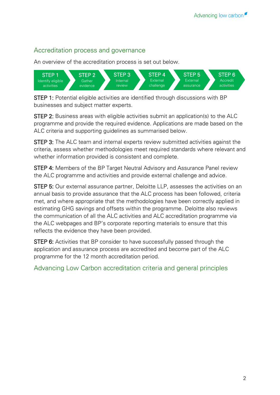# Accreditation process and governance

An overview of the accreditation process is set out below.



STEP 1: Potential eligible activities are identified through discussions with BP businesses and subject matter experts.

STEP 2: Business areas with eligible activities submit an application(s) to the ALC programme and provide the required evidence. Applications are made based on the ALC criteria and supporting guidelines as summarised below.

STEP 3: The ALC team and internal experts review submitted activities against the criteria, assess whether methodologies meet required standards where relevant and whether information provided is consistent and complete.

STEP 4: Members of the BP Target Neutral Advisory and Assurance Panel review the ALC programme and activities and provide external challenge and advice.

STEP 5: Our external assurance partner, Deloitte LLP, assesses the activities on an annual basis to provide assurance that the ALC process has been followed, criteria met, and where appropriate that the methodologies have been correctly applied in estimating GHG savings and offsets within the programme. Deloitte also reviews the communication of all the ALC activities and ALC accreditation programme via the ALC webpages and BP's corporate reporting materials to ensure that this reflects the evidence they have been provided.

**STEP 6:** Activities that BP consider to have successfully passed through the application and assurance process are accredited and become part of the ALC programme for the 12 month accreditation period.

Advancing Low Carbon accreditation criteria and general principles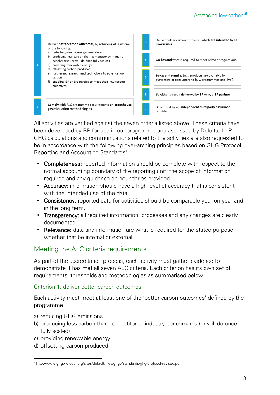

All activities are verified against the seven criteria listed above. These criteria have been developed by BP for use in our programme and assessed by Deloitte LLP. GHG calculations and communications related to the activities are also requested to be in accordance with the following over-arching principles based on GHG Protocol Reporting and Accounting Standards<sup>1</sup>:

- Completeness: reported information should be complete with respect to the normal accounting boundary of the reporting unit, the scope of information required and any guidance on boundaries provided.
- Accuracy: information should have a high level of accuracy that is consistent with the intended use of the data.
- Consistency: reported data for activities should be comparable year-on-year and in the long term.
- Transparency: all required information, processes and any changes are clearly documented.
- Relevance: data and information are what is required for the stated purpose, whether that be internal or external.

# Meeting the ALC criteria requirements

As part of the accreditation process, each activity must gather evidence to demonstrate it has met all seven ALC criteria. Each criterion has its own set of requirements, thresholds and methodologies as summarised below.

#### Criterion 1: deliver better carbon outcomes

Each activity must meet at least one of the 'better carbon outcomes' defined by the programme:

- a) reducing GHG emissions
- b) producing less carbon than competitor or industry benchmarks (or will do once fully scaled)
- c) providing renewable energy
- d) offsetting carbon produced

<sup>1</sup> <sup>1</sup> http://www.ghgprotocol.org/sites/default/files/ghgp/standards/ghg-protocol-revised.pdf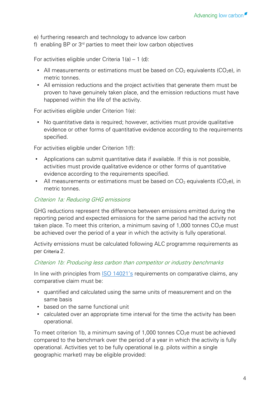e) furthering research and technology to advance low carbon

f) enabling BP or 3rd parties to meet their low carbon objectives

For activities eligible under Criteria 1(a) – 1 (d):

- All measurements or estimations must be based on  $CO<sub>2</sub>$  equivalents ( $CO<sub>2</sub>e$ ), in metric tonnes.
- All emission reductions and the project activities that generate them must be proven to have genuinely taken place, and the emission reductions must have happened within the life of the activity.

For activities eligible under Criterion 1(e):

• No quantitative data is required; however, activities must provide qualitative evidence or other forms of quantitative evidence according to the requirements specified.

For activities eligible under Criterion 1(f):

- Applications can submit quantitative data if available. If this is not possible, activities must provide qualitative evidence or other forms of quantitative evidence according to the requirements specified.
- All measurements or estimations must be based on  $CO<sub>2</sub>$  equivalents ( $CO<sub>2</sub>e$ ), in metric tonnes.

#### Criterion 1a: Reducing GHG emissions

GHG reductions represent the difference between emissions emitted during the reporting period and expected emissions for the same period had the activity not taken place. To meet this criterion, a minimum saving of 1,000 tonnes  $CO<sub>2</sub>e$  must be achieved over the period of a year in which the activity is fully operational.

Activity emissions must be calculated following ALC programme requirements as per Criteria 2.

#### Criterion 1b: Producing less carbon than competitor or industry benchmarks

In line with principles from [ISO 14021's](https://www.iso.org/standard/66652.html) requirements on comparative claims, any comparative claim must be:

- quantified and calculated using the same units of measurement and on the same basis
- based on the same functional unit
- calculated over an appropriate time interval for the time the activity has been operational.

To meet criterion 1b, a minimum saving of 1,000 tonnes  $CO<sub>2</sub>e$  must be achieved compared to the benchmark over the period of a year in which the activity is fully operational. Activities yet to be fully operational (e.g. pilots within a single geographic market) may be eligible provided: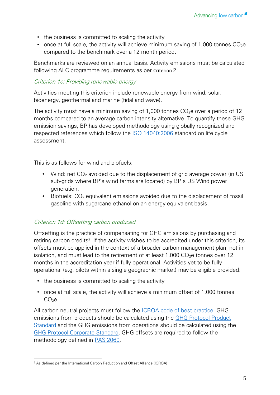- the business is committed to scaling the activity
- once at full scale, the activity will achieve minimum saving of 1,000 tonnes  $CO<sub>2</sub>e$ compared to the benchmark over a 12 month period.

Benchmarks are reviewed on an annual basis. Activity emissions must be calculated following ALC programme requirements as per Criterion 2.

### Criterion 1c: Providing renewable energy

Activities meeting this criterion include renewable energy from wind, solar, bioenergy, geothermal and marine (tidal and wave).

The activity must have a minimum saving of 1,000 tonnes  $CO<sub>2</sub>e$  over a period of 12 months compared to an average carbon intensity alternative. To quantify these GHG emission savings, BP has developed methodology using globally recognized and respected references which follow the [ISO 14040:2006](https://www.iso.org/standard/37456.html) standard on life cycle assessment.

This is as follows for wind and biofuels:

- Wind: net  $CO<sub>2</sub>$  avoided due to the displacement of grid average power (in US sub-grids where BP's wind farms are located) by BP's US Wind power generation.
- Biofuels:  $CO<sub>2</sub>$  equivalent emissions avoided due to the displacement of fossil gasoline with sugarcane ethanol on an energy equivalent basis.

# Criterion 1d: Offsetting carbon produced

Offsetting is the practice of compensating for GHG emissions by purchasing and retiring carbon credits<sup>2</sup>. If the activity wishes to be accredited under this criterion, its offsets must be applied in the context of a broader carbon management plan; not in isolation, and must lead to the retirement of at least 1,000  $CO<sub>2</sub>e$  tonnes over 12 months in the accreditation year if fully operational. Activities yet to be fully operational (e.g. pilots within a single geographic market) may be eligible provided:

- the business is committed to scaling the activity
- once at full scale, the activity will achieve a minimum offset of 1,000 tonnes  $CO<sub>2</sub>e$ .

All carbon neutral projects must follow the [ICROA code of best practice.](http://www.icroa.org/The-ICROA-Code-of-Best-Practice) GHG emissions from products should be calculated using the [GHG Protocol Product](http://www.ghgprotocol.org/sites/default/files/ghgp/standards/Product-Life-Cycle-Accounting-Reporting-Standard_041613.pdf)  [Standard](http://www.ghgprotocol.org/sites/default/files/ghgp/standards/Product-Life-Cycle-Accounting-Reporting-Standard_041613.pdf) and the GHG emissions from operations should be calculated using the [GHG Protocol Corporate Standard.](http://www.ghgprotocol.org/sites/default/files/ghgp/standards/ghg-protocol-revised.pdf) GHG offsets are required to follow the methodology defined in [PAS 2060.](https://shop.bsigroup.com/ProductDetail/?pid=000000000030286698)

<sup>1</sup> <sup>2</sup> As defined per the International Carbon Reduction and Offset Alliance (ICROA)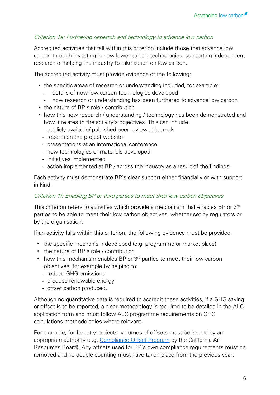# Criterion 1e: Furthering research and technology to advance low carbon

Accredited activities that fall within this criterion include those that advance low carbon through investing in new lower carbon technologies, supporting independent research or helping the industry to take action on low carbon.

The accredited activity must provide evidence of the following:

- the specific areas of research or understanding included, for example:
	- details of new low carbon technologies developed
	- how research or understanding has been furthered to advance low carbon
- the nature of BP's role / contribution
- how this new research / understanding / technology has been demonstrated and how it relates to the activity's objectives. This can include:
	- publicly available/ published peer reviewed journals
	- reports on the project website
	- presentations at an international conference
	- new technologies or materials developed
	- initiatives implemented
	- action implemented at BP / across the industry as a result of the findings.

Each activity must demonstrate BP's clear support either financially or with support in kind.

#### Criterion 1f: Enabling BP or third parties to meet their low carbon objectives

This criterion refers to activities which provide a mechanism that enables BP or 3<sup>rd</sup> parties to be able to meet their low carbon objectives, whether set by regulators or by the organisation.

If an activity falls within this criterion, the following evidence must be provided:

- the specific mechanism developed (e.g. programme or market place)
- the nature of BP's role / contribution
- $\bullet$  how this mechanism enables BP or  $3<sup>rd</sup>$  parties to meet their low carbon objectives, for example by helping to:
	- reduce GHG emissions
	- produce renewable energy
	- offset carbon produced.

Although no quantitative data is required to accredit these activities, if a GHG saving or offset is to be reported, a clear methodology is required to be detailed in the ALC application form and must follow ALC programme requirements on GHG calculations methodologies where relevant.

For example, for forestry projects, volumes of offsets must be issued by an appropriate authority (e.g. [Compliance Offset Program](https://www.arb.ca.gov/cc/capandtrade/offsets/offsets.htm) by the California Air Resources Board). Any offsets used for BP's own compliance requirements must be removed and no double counting must have taken place from the previous year.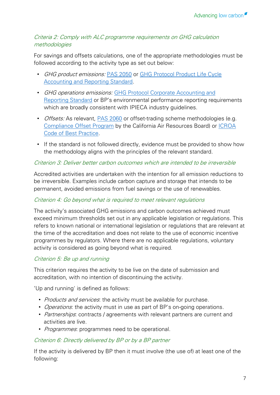# Criteria 2: Comply with ALC programme requirements on GHG calculation methodologies

For savings and offsets calculations, one of the appropriate methodologies must be followed according to the activity type as set out below:

- GHG product emissions: [PAS 2050](https://shop.bsigroup.com/forms/PASs/PAS-2050/) or GHG Protocol Product Life Cycle [Accounting and Reporting Standard.](http://www.ghgprotocol.org/sites/default/files/ghgp/standards/Product-Life-Cycle-Accounting-Reporting-Standard_041613.pdf)
- GHG operations emissions: GHG Protocol Corporate Accounting and [Reporting](http://www.ghgprotocol.org/sites/default/files/ghgp/standards/ghg-protocol-revised.pdf) Standard or BP's environmental performance reporting requirements which are broadly consistent with IPIECA industry guidelines.
- *Offsets:* As relevant, **PAS 2060** or offset-trading scheme methodologies (e.g. [Compliance Offset Program](https://www.arb.ca.gov/cc/capandtrade/offsets/offsets.htm) by the California Air Resources Board) or [ICROA](http://www.icroa.org/The-ICROA-Code-of-Best-Practice)  [Code of Best Practice.](http://www.icroa.org/The-ICROA-Code-of-Best-Practice)
- If the standard is not followed directly, evidence must be provided to show how the methodology aligns with the principles of the relevant standard.

# Criterion 3: Deliver better carbon outcomes which are intended to be irreversible

Accredited activities are undertaken with the intention for all emission reductions to be irreversible. Examples include carbon capture and storage that intends to be permanent, avoided emissions from fuel savings or the use of renewables.

# Criterion 4: Go beyond what is required to meet relevant regulations

The activity's associated GHG emissions and carbon outcomes achieved must exceed minimum thresholds set out in any applicable legislation or regulations. This refers to known national or international legislation or regulations that are relevant at the time of the accreditation and does not relate to the use of economic incentive programmes by regulators. Where there are no applicable regulations, voluntary activity is considered as going beyond what is required.

# Criterion 5: Be up and running

This criterion requires the activity to be live on the date of submission and accreditation, with no intention of discontinuing the activity.

'Up and running' is defined as follows:

- Products and services: the activity must be available for purchase.
- Operations: the activity must in use as part of BP's on-going operations.
- Partnerships: contracts / agreements with relevant partners are current and activities are live.
- *Programmes*: programmes need to be operational.

# Criterion 6: Directly delivered by BP or by a BP partner

If the activity is delivered by BP then it must involve (the use of) at least one of the following: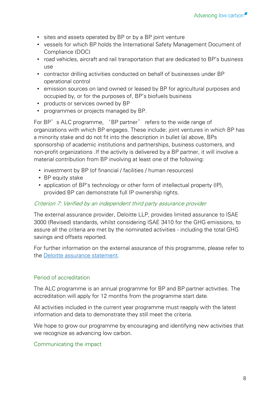- sites and assets operated by BP or by a BP joint venture
- vessels for which BP holds the International Safety Management Document of Compliance (DOC)
- road vehicles, aircraft and rail transportation that are dedicated to BP's business use
- contractor drilling activities conducted on behalf of businesses under BP operational control
- emission sources on land owned or leased by BP for agricultural purposes and occupied by, or for the purposes of, BP's biofuels business
- products or services owned by BP
- programmes or projects managed by BP.

For BP's ALC programme, 'BP partner' refers to the wide range of organizations with which BP engages. These include: joint ventures in which BP has a minority stake and do not fit into the description in bullet (a) above, BPs sponsorship of academic institutions and partnerships, business customers, and non-profit organizations .If the activity is delivered by a BP partner, it will involve a material contribution from BP involving at least one of the following:

- investment by BP (of financial / facilities / human resources)
- BP equity stake
- application of BP's technology or other form of intellectual property (IP), provided BP can demonstrate full IP ownership rights.

#### Criterion 7: Verified by an independent third party assurance provider

The external assurance provider, Deloitte LLP, provides limited assurance to ISAE 3000 (Revised) standards, whilst considering ISAE 3410 for the GHG emissions, to assure all the criteria are met by the nominated activities - including the total GHG savings and offsets reported.

For further information on the external assurance of this programme, please refer to the [Deloitte assurance statement.](https://www.bp.com/content/dam/bp/en/corporate/pdf/sustainability-report/tables/bp-alc-deloitte-assurance.pdf)

# Period of accreditation

The ALC programme is an annual programme for BP and BP partner activities. The accreditation will apply for 12 months from the programme start date.

All activities included in the current year programme must reapply with the latest information and data to demonstrate they still meet the criteria.

We hope to grow our programme by encouraging and identifying new activities that we recognize as advancing low carbon.

# Communicating the impact